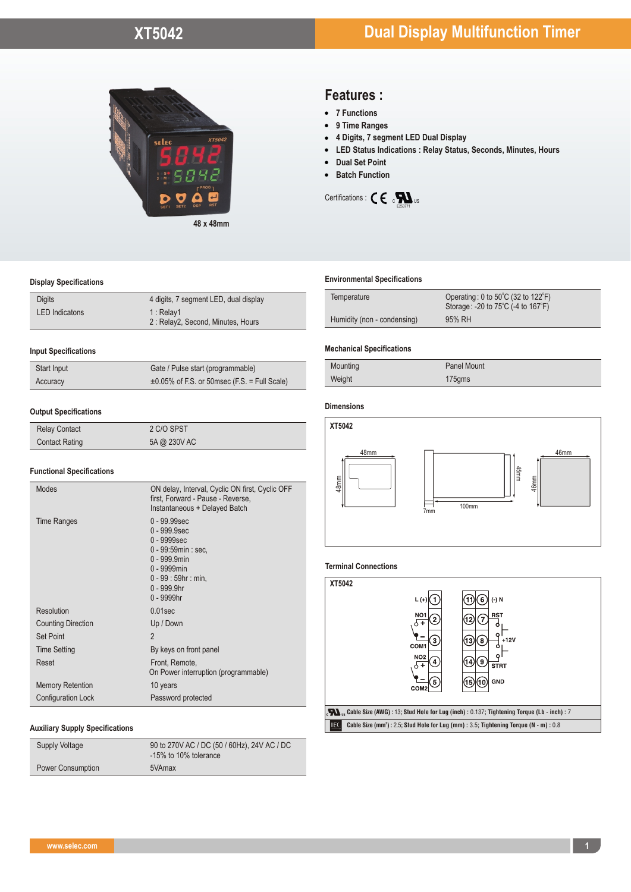

# **Display Specifications**

| <b>Digits</b>         | 4 digits, 7 segment LED, dual display          |
|-----------------------|------------------------------------------------|
| <b>LED</b> Indicatons | 1: Relay1<br>2: Relay2, Second, Minutes, Hours |

#### **Input Specifications**

| Start Input | Gate / Pulse start (programmable)                  |
|-------------|----------------------------------------------------|
| Accuracy    | $\pm 0.05\%$ of F.S. or 50msec (F.S. = Full Scale) |

# **Output Specifications**

| <b>Relay Contact</b>  | 2 C/O SPST   |
|-----------------------|--------------|
| <b>Contact Rating</b> | 5A @ 230V AC |

# **Functional Specifications**

| $0 - 99.99$ sec<br><b>Time Ranges</b><br>$0 - 999.9$ sec<br>0 - 9999sec<br>0 - 99:59min : sec.<br>0 - 999.9min<br>0 - 9999min<br>$0 - 99 : 59$ hr : min.<br>0 - 999.9hr<br>0 - 9999hr<br>Resolution<br>$0.01$ sec<br><b>Counting Direction</b><br>Up / Down<br>$\overline{2}$<br>Set Point<br><b>Time Setting</b><br>By keys on front panel<br>Reset<br>Front, Remote, |
|------------------------------------------------------------------------------------------------------------------------------------------------------------------------------------------------------------------------------------------------------------------------------------------------------------------------------------------------------------------------|
|                                                                                                                                                                                                                                                                                                                                                                        |
|                                                                                                                                                                                                                                                                                                                                                                        |
|                                                                                                                                                                                                                                                                                                                                                                        |
|                                                                                                                                                                                                                                                                                                                                                                        |
|                                                                                                                                                                                                                                                                                                                                                                        |
| On Power interruption (programmable)                                                                                                                                                                                                                                                                                                                                   |
| <b>Memory Retention</b><br>10 years                                                                                                                                                                                                                                                                                                                                    |
| <b>Configuration Lock</b><br>Password protected                                                                                                                                                                                                                                                                                                                        |

#### **Auxiliary Supply Specifications**

| <b>Supply Voltage</b>    | 90 to 270V AC / DC (50 / 60Hz), 24V AC / DC<br>-15% to 10% tolerance |
|--------------------------|----------------------------------------------------------------------|
| <b>Power Consumption</b> | 5VAmax                                                               |
|                          |                                                                      |

# **Features :**

- **7 Functions**
	- **9 Time Ranges**
	- **4 Digits, 7 segment LED Dual Display**
- **LED Status Indications : Relay Status, Seconds, Minutes, Hours**  • 7 Functions<br>• 9 Time Ranges<br>• 4 Digits, 7 segment LED Dual Display<br>• LED Status Indications : Relay Status, Seconds, Minutes, Hours<br>• Dual Set Point<br>• Batch Function
	-
- 



#### **Environmental Specifications**

| Temperature                 | Operating: 0 to $50^{\circ}$ C (32 to $122^{\circ}$ F)<br>Storage: -20 to 75°C (-4 to 167°F) |
|-----------------------------|----------------------------------------------------------------------------------------------|
| Humidity (non - condensing) | 95% RH                                                                                       |

#### **Mechanical Specifications**

| Mounting | <b>Panel Mount</b> |
|----------|--------------------|
| Weight   | $175$ gms          |

#### **Dimensions**



# **Terminal Connections**